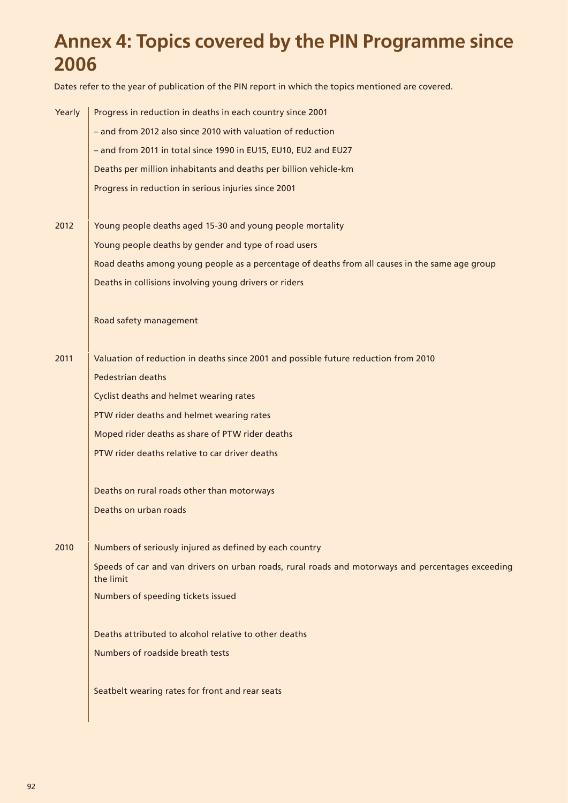## **Annex 4: Topics covered by the PIN Programme since 2006**

Dates refer to the year of publication of the PIN report in which the topics mentioned are covered.

| Yearly | Progress in reduction in deaths in each country since 2001                                                     |
|--------|----------------------------------------------------------------------------------------------------------------|
|        | - and from 2012 also since 2010 with valuation of reduction                                                    |
|        | - and from 2011 in total since 1990 in EU15, EU10, EU2 and EU27                                                |
|        | Deaths per million inhabitants and deaths per billion vehicle-km                                               |
|        | Progress in reduction in serious injuries since 2001                                                           |
|        |                                                                                                                |
| 2012   | Young people deaths aged 15-30 and young people mortality                                                      |
|        | Young people deaths by gender and type of road users                                                           |
|        | Road deaths among young people as a percentage of deaths from all causes in the same age group                 |
|        | Deaths in collisions involving young drivers or riders                                                         |
|        | Road safety management                                                                                         |
|        |                                                                                                                |
| 2011   | Valuation of reduction in deaths since 2001 and possible future reduction from 2010                            |
|        | Pedestrian deaths                                                                                              |
|        | Cyclist deaths and helmet wearing rates                                                                        |
|        | PTW rider deaths and helmet wearing rates                                                                      |
|        | Moped rider deaths as share of PTW rider deaths                                                                |
|        | PTW rider deaths relative to car driver deaths                                                                 |
|        | Deaths on rural roads other than motorways                                                                     |
|        | Deaths on urban roads                                                                                          |
| 2010   | Numbers of seriously injured as defined by each country                                                        |
|        | Speeds of car and van drivers on urban roads, rural roads and motorways and percentages exceeding<br>the limit |
|        | Numbers of speeding tickets issued                                                                             |
|        | Deaths attributed to alcohol relative to other deaths                                                          |
|        | Numbers of roadside breath tests                                                                               |
|        | Seatbelt wearing rates for front and rear seats                                                                |